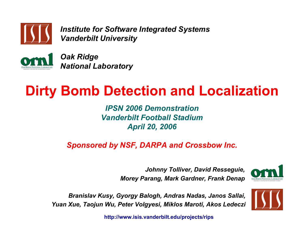

*Institute for Software Integrated Systems Vanderbilt University*



*Oak Ridge National Laboratory*

# **Dirty Bomb Detection and Localization**

*IPSN 2006 DemonstrationVanderbilt Football StadiumApril 20, 2006*

*Sponsored by NSF, DARPA and Crossbow Inc.*

*Johnny Tolliver, David Resseguie, Morey Parang, Mark Gardner, Frank Denap*



*Branislav Kusy, Gyorgy Balogh, Andras Nadas, Janos Sallai, Yuan Xue, Taojun Wu, Peter Volgyesi, Miklos Maroti, Akos Ledeczi*

**http://www.isis.vanderbilt.edu/projects/rips**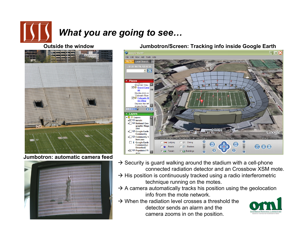

# *What you are going to see…*

### **Outside the window**



#### **Jumbotron: automatic camera feed**



#### **Jumbotron/Screen: Tracking info inside Google Earth**



- $\rightarrow$  Security is guard walking around the stadium with a cell-phone connected radiation detector and an Crossbow XSM mote.
- $\rightarrow$  His position is continuously tracked using a radio interferometric technique running on the motes.
- $\rightarrow$  A camera automatically tracks his position using the geolocation info from the mote network.
- $\rightarrow$  When the radiation level crosses a threshold the detector sends an alarm and thecamera zooms in on the position.

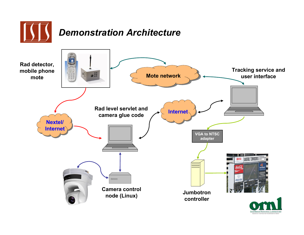

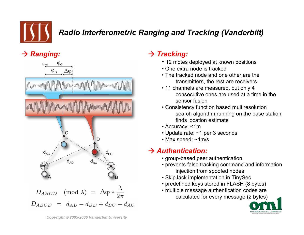

# *Radio Interferometric Ranging and Tracking (Vanderbilt)*

## $\rightarrow$  *Ranging:*



### $\rightarrow$  *Tracking:*

- 12 motes deployed at known positions
- One extra node is tracked
- The tracked node and one other are the transmitters, the rest are receivers
- 11 channels are measured, but only 4 consecutive ones are used at a time in the sensor fusion
- Consistency function based multiresolution search algorithm running on the base station finds location estimate
- Accuracy: <1m
- Update rate: ~1 per 3 seconds
- Max speed: ~4m/s

### Æ *Authentication:*

- group-based peer authentication
- prevents false tracking command and information injection from spoofed nodes
- SkipJack implementation in TinySec
- predefined keys stored in FLASH (8 bytes)
- multiple message authentication codes are calculated for every message (2 bytes)